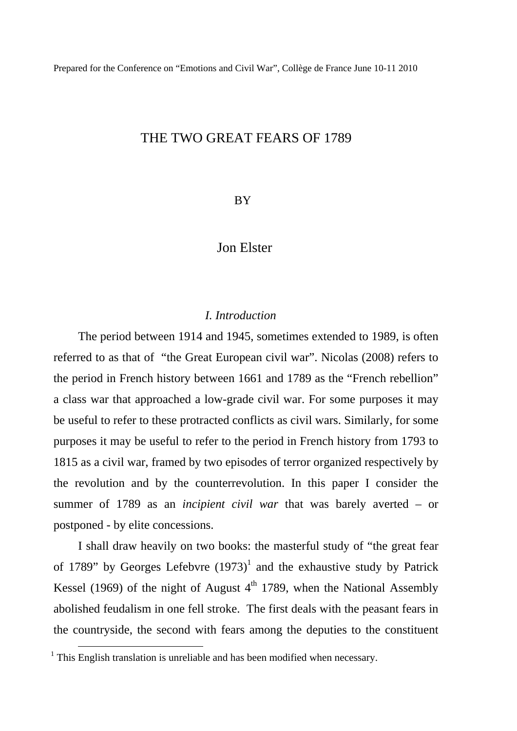## THE TWO GREAT FEARS OF 1789

## BY

### Jon Elster

### *I. Introduction*

The period between 1914 and 1945, sometimes extended to 1989, is often referred to as that of "the Great European civil war". Nicolas (2008) refers to the period in French history between 1661 and 1789 as the "French rebellion" a class war that approached a low-grade civil war. For some purposes it may be useful to refer to these protracted conflicts as civil wars. Similarly, for some purposes it may be useful to refer to the period in French history from 1793 to 1815 as a civil war, framed by two episodes of terror organized respectively by the revolution and by the counterrevolution. In this paper I consider the summer of 1789 as an *incipient civil war* that was barely averted – or postponed - by elite concessions.

I shall draw heavily on two books: the masterful study of "the great fear of 1789" by Georges Lefebvre  $(1973)^1$  and the exhaustive study by Patrick Kessel (1969) of the night of August  $4<sup>th</sup>$  1789, when the National Assembly abolished feudalism in one fell stroke. The first deals with the peasant fears in the countryside, the second with fears among the deputies to the constituent

<sup>&</sup>lt;sup>1</sup> This English translation is unreliable and has been modified when necessary.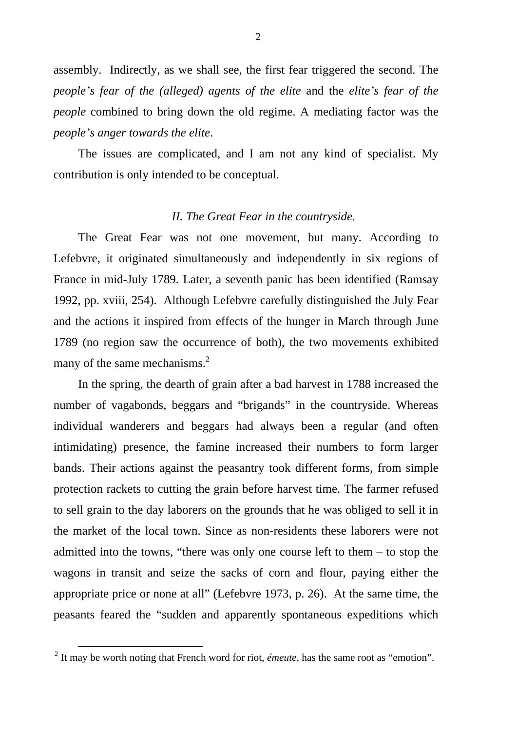assembly. Indirectly, as we shall see, the first fear triggered the second. The *people's fear of the (alleged) agents of the elite* and the *elite's fear of the people* combined to bring down the old regime. A mediating factor was the *people's anger towards the elite*.

The issues are complicated, and I am not any kind of specialist. My contribution is only intended to be conceptual.

### *II. The Great Fear in the countryside.*

The Great Fear was not one movement, but many. According to Lefebvre, it originated simultaneously and independently in six regions of France in mid-July 1789. Later, a seventh panic has been identified (Ramsay 1992, pp. xviii, 254). Although Lefebvre carefully distinguished the July Fear and the actions it inspired from effects of the hunger in March through June 1789 (no region saw the occurrence of both), the two movements exhibited many of the same mechanisms. $<sup>2</sup>$ </sup>

In the spring, the dearth of grain after a bad harvest in 1788 increased the number of vagabonds, beggars and "brigands" in the countryside. Whereas individual wanderers and beggars had always been a regular (and often intimidating) presence, the famine increased their numbers to form larger bands. Their actions against the peasantry took different forms, from simple protection rackets to cutting the grain before harvest time. The farmer refused to sell grain to the day laborers on the grounds that he was obliged to sell it in the market of the local town. Since as non-residents these laborers were not admitted into the towns, "there was only one course left to them – to stop the wagons in transit and seize the sacks of corn and flour, paying either the appropriate price or none at all" (Lefebvre 1973, p. 26). At the same time, the peasants feared the "sudden and apparently spontaneous expeditions which

<sup>&</sup>lt;sup>2</sup> It may be worth noting that French word for riot, *émeute*, has the same root as "emotion".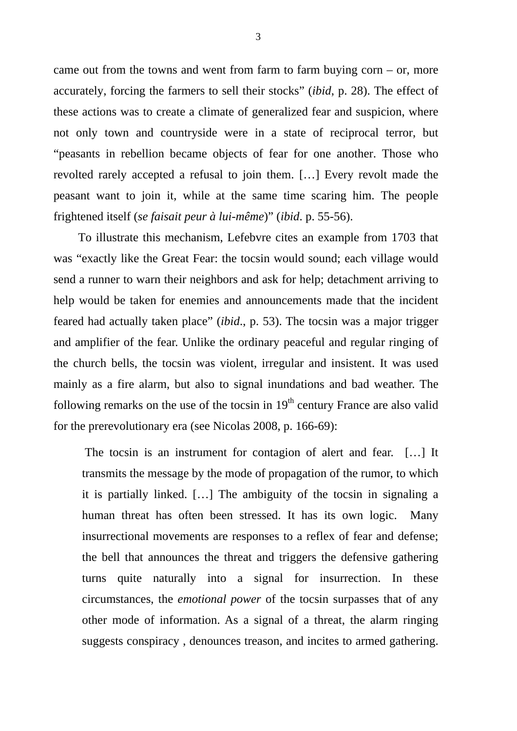came out from the towns and went from farm to farm buying corn  $-$  or, more accurately, forcing the farmers to sell their stocks" (*ibid*, p. 28). The effect of these actions was to create a climate of generalized fear and suspicion, where not only town and countryside were in a state of reciprocal terror, but "peasants in rebellion became objects of fear for one another. Those who revolted rarely accepted a refusal to join them. […] Every revolt made the peasant want to join it, while at the same time scaring him. The people frightened itself (*se faisait peur à lui-même*)" (*ibid*. p. 55-56).

To illustrate this mechanism, Lefebvre cites an example from 1703 that was "exactly like the Great Fear: the tocsin would sound; each village would send a runner to warn their neighbors and ask for help; detachment arriving to help would be taken for enemies and announcements made that the incident feared had actually taken place" (*ibid*., p. 53). The tocsin was a major trigger and amplifier of the fear. Unlike the ordinary peaceful and regular ringing of the church bells, the tocsin was violent, irregular and insistent. It was used mainly as a fire alarm, but also to signal inundations and bad weather. The following remarks on the use of the tocsin in  $19<sup>th</sup>$  century France are also valid for the prerevolutionary era (see Nicolas 2008, p. 166-69):

 The tocsin is an instrument for contagion of alert and fear. […] It transmits the message by the mode of propagation of the rumor, to which it is partially linked. […] The ambiguity of the tocsin in signaling a human threat has often been stressed. It has its own logic. Many insurrectional movements are responses to a reflex of fear and defense; the bell that announces the threat and triggers the defensive gathering turns quite naturally into a signal for insurrection. In these circumstances, the *emotional power* of the tocsin surpasses that of any other mode of information. As a signal of a threat, the alarm ringing suggests conspiracy , denounces treason, and incites to armed gathering.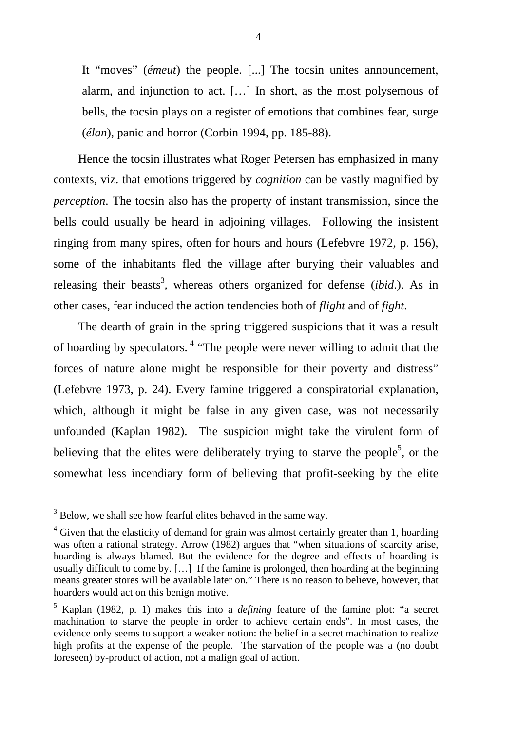It "moves" (*émeut*) the people. [...] The tocsin unites announcement, alarm, and injunction to act. […] In short, as the most polysemous of bells, the tocsin plays on a register of emotions that combines fear, surge (*élan*), panic and horror (Corbin 1994, pp. 185-88).

Hence the tocsin illustrates what Roger Petersen has emphasized in many contexts, viz. that emotions triggered by *cognition* can be vastly magnified by *perception*. The tocsin also has the property of instant transmission, since the bells could usually be heard in adjoining villages. Following the insistent ringing from many spires, often for hours and hours (Lefebvre 1972, p. 156), some of the inhabitants fled the village after burying their valuables and releasing their beasts<sup>3</sup>, whereas others organized for defense *(ibid.)*. As in other cases, fear induced the action tendencies both of *flight* and of *fight*.

The dearth of grain in the spring triggered suspicions that it was a result of hoarding by speculators. 4 "The people were never willing to admit that the forces of nature alone might be responsible for their poverty and distress" (Lefebvre 1973, p. 24). Every famine triggered a conspiratorial explanation, which, although it might be false in any given case, was not necessarily unfounded (Kaplan 1982). The suspicion might take the virulent form of believing that the elites were deliberately trying to starve the people<sup>5</sup>, or the somewhat less incendiary form of believing that profit-seeking by the elite

<sup>&</sup>lt;sup>3</sup> Below, we shall see how fearful elites behaved in the same way.

 $4$  Given that the elasticity of demand for grain was almost certainly greater than 1, hoarding was often a rational strategy. Arrow (1982) argues that "when situations of scarcity arise, hoarding is always blamed. But the evidence for the degree and effects of hoarding is usually difficult to come by. […] If the famine is prolonged, then hoarding at the beginning means greater stores will be available later on." There is no reason to believe, however, that hoarders would act on this benign motive.

<sup>5</sup> Kaplan (1982, p. 1) makes this into a *defining* feature of the famine plot: "a secret machination to starve the people in order to achieve certain ends". In most cases, the evidence only seems to support a weaker notion: the belief in a secret machination to realize high profits at the expense of the people. The starvation of the people was a (no doubt foreseen) by-product of action, not a malign goal of action.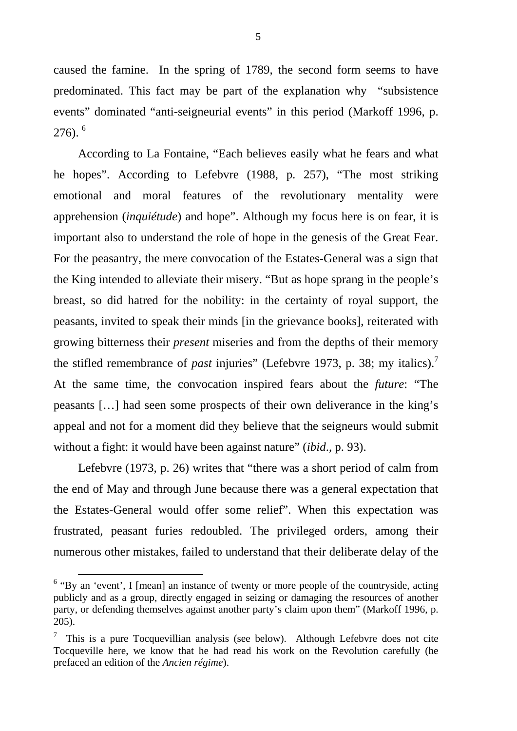caused the famine. In the spring of 1789, the second form seems to have predominated. This fact may be part of the explanation why "subsistence events" dominated "anti-seigneurial events" in this period (Markoff 1996, p. 276).<sup>6</sup>

According to La Fontaine, "Each believes easily what he fears and what he hopes". According to Lefebvre (1988, p. 257), "The most striking emotional and moral features of the revolutionary mentality were apprehension (*inquiétude*) and hope". Although my focus here is on fear, it is important also to understand the role of hope in the genesis of the Great Fear. For the peasantry, the mere convocation of the Estates-General was a sign that the King intended to alleviate their misery. "But as hope sprang in the people's breast, so did hatred for the nobility: in the certainty of royal support, the peasants, invited to speak their minds [in the grievance books], reiterated with growing bitterness their *present* miseries and from the depths of their memory the stifled remembrance of *past* injuries" (Lefebvre 1973, p. 38; my italics).<sup>7</sup> At the same time, the convocation inspired fears about the *future*: "The peasants […] had seen some prospects of their own deliverance in the king's appeal and not for a moment did they believe that the seigneurs would submit without a fight: it would have been against nature" (*ibid*., p. 93).

Lefebvre (1973, p. 26) writes that "there was a short period of calm from the end of May and through June because there was a general expectation that the Estates-General would offer some relief". When this expectation was frustrated, peasant furies redoubled. The privileged orders, among their numerous other mistakes, failed to understand that their deliberate delay of the

<sup>&</sup>lt;sup>6</sup> "By an 'event', I [mean] an instance of twenty or more people of the countryside, acting publicly and as a group, directly engaged in seizing or damaging the resources of another party, or defending themselves against another party's claim upon them" (Markoff 1996, p. 205).

 $\frac{7}{1}$  This is a pure Tocquevillian analysis (see below). Although Lefebvre does not cite Tocqueville here, we know that he had read his work on the Revolution carefully (he prefaced an edition of the *Ancien régime*).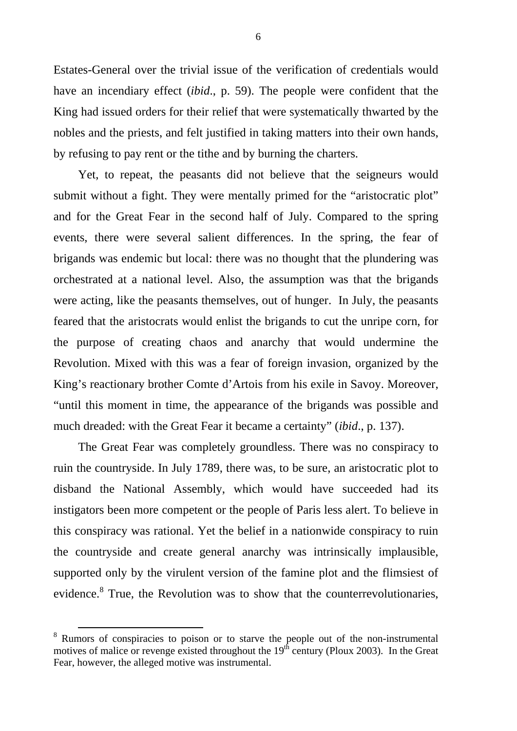Estates-General over the trivial issue of the verification of credentials would have an incendiary effect (*ibid*., p. 59). The people were confident that the King had issued orders for their relief that were systematically thwarted by the nobles and the priests, and felt justified in taking matters into their own hands, by refusing to pay rent or the tithe and by burning the charters.

Yet, to repeat, the peasants did not believe that the seigneurs would submit without a fight. They were mentally primed for the "aristocratic plot" and for the Great Fear in the second half of July. Compared to the spring events, there were several salient differences. In the spring, the fear of brigands was endemic but local: there was no thought that the plundering was orchestrated at a national level. Also, the assumption was that the brigands were acting, like the peasants themselves, out of hunger. In July, the peasants feared that the aristocrats would enlist the brigands to cut the unripe corn, for the purpose of creating chaos and anarchy that would undermine the Revolution. Mixed with this was a fear of foreign invasion, organized by the King's reactionary brother Comte d'Artois from his exile in Savoy. Moreover, "until this moment in time, the appearance of the brigands was possible and much dreaded: with the Great Fear it became a certainty" (*ibid*., p. 137).

The Great Fear was completely groundless. There was no conspiracy to ruin the countryside. In July 1789, there was, to be sure, an aristocratic plot to disband the National Assembly, which would have succeeded had its instigators been more competent or the people of Paris less alert. To believe in this conspiracy was rational. Yet the belief in a nationwide conspiracy to ruin the countryside and create general anarchy was intrinsically implausible, supported only by the virulent version of the famine plot and the flimsiest of evidence.<sup>8</sup> True, the Revolution was to show that the counterrevolutionaries,

<sup>&</sup>lt;sup>8</sup> Rumors of conspiracies to poison or to starve the people out of the non-instrumental motives of malice or revenge existed throughout the  $19<sup>th</sup>$  century (Ploux 2003). In the Great Fear, however, the alleged motive was instrumental.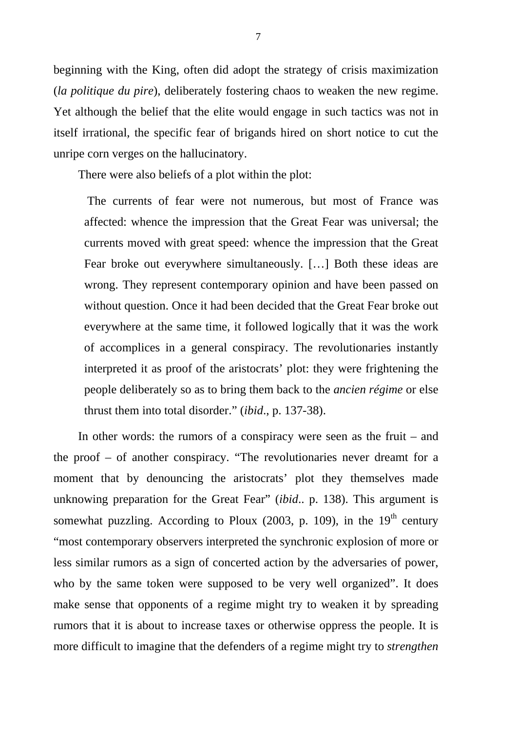beginning with the King, often did adopt the strategy of crisis maximization (*la politique du pire*), deliberately fostering chaos to weaken the new regime. Yet although the belief that the elite would engage in such tactics was not in itself irrational, the specific fear of brigands hired on short notice to cut the unripe corn verges on the hallucinatory.

There were also beliefs of a plot within the plot:

 The currents of fear were not numerous, but most of France was affected: whence the impression that the Great Fear was universal; the currents moved with great speed: whence the impression that the Great Fear broke out everywhere simultaneously. […] Both these ideas are wrong. They represent contemporary opinion and have been passed on without question. Once it had been decided that the Great Fear broke out everywhere at the same time, it followed logically that it was the work of accomplices in a general conspiracy. The revolutionaries instantly interpreted it as proof of the aristocrats' plot: they were frightening the people deliberately so as to bring them back to the *ancien régime* or else thrust them into total disorder." (*ibid*., p. 137-38).

In other words: the rumors of a conspiracy were seen as the fruit – and the proof – of another conspiracy. "The revolutionaries never dreamt for a moment that by denouncing the aristocrats' plot they themselves made unknowing preparation for the Great Fear" (*ibid*.. p. 138). This argument is somewhat puzzling. According to Ploux  $(2003, p. 109)$ , in the 19<sup>th</sup> century "most contemporary observers interpreted the synchronic explosion of more or less similar rumors as a sign of concerted action by the adversaries of power, who by the same token were supposed to be very well organized". It does make sense that opponents of a regime might try to weaken it by spreading rumors that it is about to increase taxes or otherwise oppress the people. It is more difficult to imagine that the defenders of a regime might try to *strengthen*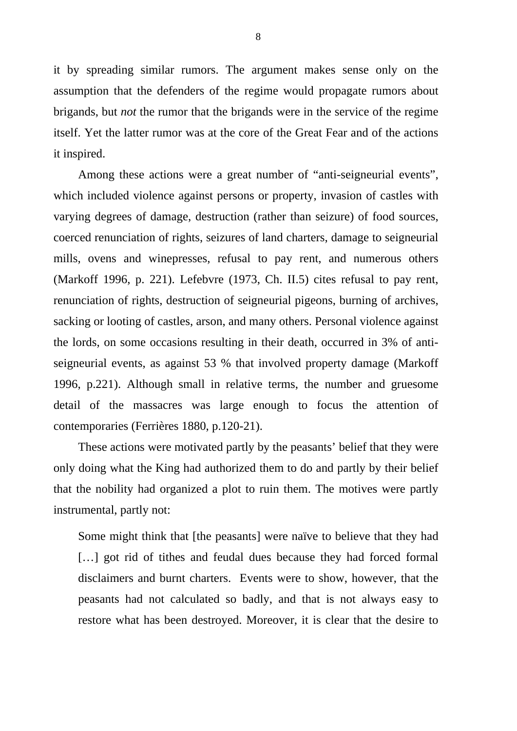it by spreading similar rumors. The argument makes sense only on the assumption that the defenders of the regime would propagate rumors about brigands, but *not* the rumor that the brigands were in the service of the regime itself. Yet the latter rumor was at the core of the Great Fear and of the actions it inspired.

Among these actions were a great number of "anti-seigneurial events", which included violence against persons or property, invasion of castles with varying degrees of damage, destruction (rather than seizure) of food sources, coerced renunciation of rights, seizures of land charters, damage to seigneurial mills, ovens and winepresses, refusal to pay rent, and numerous others (Markoff 1996, p. 221). Lefebvre (1973, Ch. II.5) cites refusal to pay rent, renunciation of rights, destruction of seigneurial pigeons, burning of archives, sacking or looting of castles, arson, and many others. Personal violence against the lords, on some occasions resulting in their death, occurred in 3% of antiseigneurial events, as against 53 % that involved property damage (Markoff 1996, p.221). Although small in relative terms, the number and gruesome detail of the massacres was large enough to focus the attention of contemporaries (Ferrières 1880, p.120-21).

These actions were motivated partly by the peasants' belief that they were only doing what the King had authorized them to do and partly by their belief that the nobility had organized a plot to ruin them. The motives were partly instrumental, partly not:

Some might think that [the peasants] were naïve to believe that they had [...] got rid of tithes and feudal dues because they had forced formal disclaimers and burnt charters. Events were to show, however, that the peasants had not calculated so badly, and that is not always easy to restore what has been destroyed. Moreover, it is clear that the desire to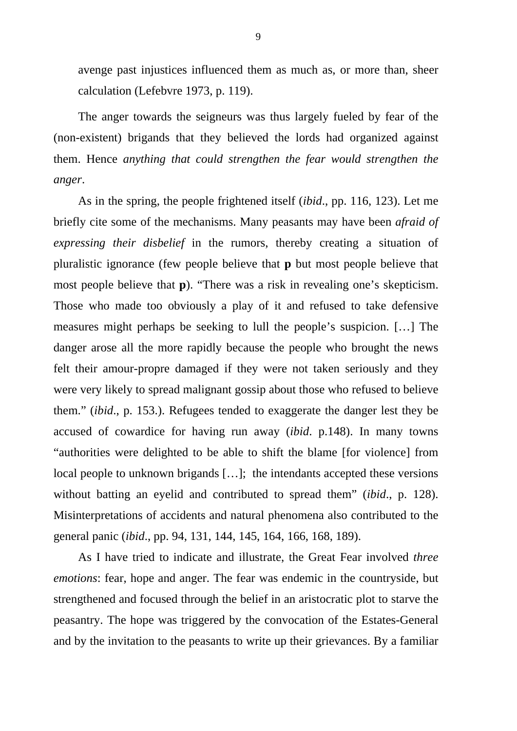avenge past injustices influenced them as much as, or more than, sheer calculation (Lefebvre 1973, p. 119).

The anger towards the seigneurs was thus largely fueled by fear of the (non-existent) brigands that they believed the lords had organized against them. Hence *anything that could strengthen the fear would strengthen the anger*.

As in the spring, the people frightened itself (*ibid*., pp. 116, 123). Let me briefly cite some of the mechanisms. Many peasants may have been *afraid of expressing their disbelief* in the rumors, thereby creating a situation of pluralistic ignorance (few people believe that **p** but most people believe that most people believe that **p**). "There was a risk in revealing one's skepticism. Those who made too obviously a play of it and refused to take defensive measures might perhaps be seeking to lull the people's suspicion. […] The danger arose all the more rapidly because the people who brought the news felt their amour-propre damaged if they were not taken seriously and they were very likely to spread malignant gossip about those who refused to believe them." (*ibid*., p. 153.). Refugees tended to exaggerate the danger lest they be accused of cowardice for having run away (*ibid*. p.148). In many towns "authorities were delighted to be able to shift the blame [for violence] from local people to unknown brigands […]; the intendants accepted these versions without batting an eyelid and contributed to spread them" (*ibid*., p. 128). Misinterpretations of accidents and natural phenomena also contributed to the general panic (*ibid*., pp. 94, 131, 144, 145, 164, 166, 168, 189).

As I have tried to indicate and illustrate, the Great Fear involved *three emotions*: fear, hope and anger. The fear was endemic in the countryside, but strengthened and focused through the belief in an aristocratic plot to starve the peasantry. The hope was triggered by the convocation of the Estates-General and by the invitation to the peasants to write up their grievances. By a familiar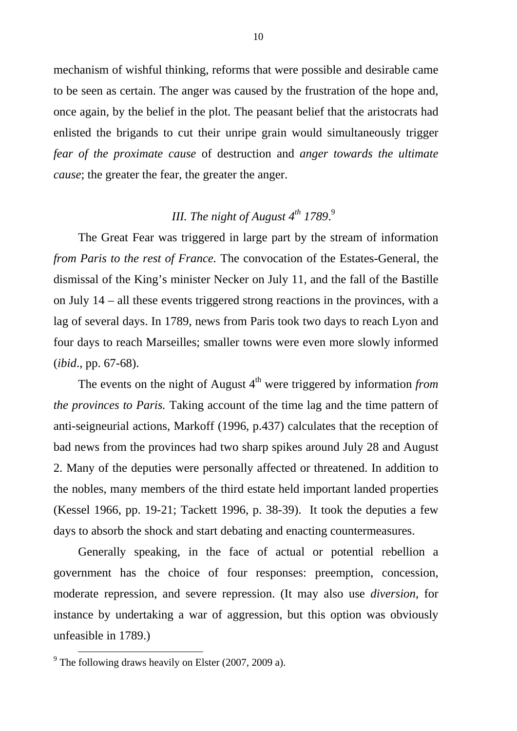mechanism of wishful thinking, reforms that were possible and desirable came to be seen as certain. The anger was caused by the frustration of the hope and, once again, by the belief in the plot. The peasant belief that the aristocrats had enlisted the brigands to cut their unripe grain would simultaneously trigger *fear of the proximate cause* of destruction and *anger towards the ultimate cause*; the greater the fear, the greater the anger.

# *III. The night of August 4th 1789*. 9

The Great Fear was triggered in large part by the stream of information *from Paris to the rest of France.* The convocation of the Estates-General, the dismissal of the King's minister Necker on July 11, and the fall of the Bastille on July 14 – all these events triggered strong reactions in the provinces, with a lag of several days. In 1789, news from Paris took two days to reach Lyon and four days to reach Marseilles; smaller towns were even more slowly informed (*ibid*., pp. 67-68).

The events on the night of August  $4<sup>th</sup>$  were triggered by information *from the provinces to Paris.* Taking account of the time lag and the time pattern of anti-seigneurial actions, Markoff (1996, p.437) calculates that the reception of bad news from the provinces had two sharp spikes around July 28 and August 2. Many of the deputies were personally affected or threatened. In addition to the nobles, many members of the third estate held important landed properties (Kessel 1966, pp. 19-21; Tackett 1996, p. 38-39). It took the deputies a few days to absorb the shock and start debating and enacting countermeasures.

Generally speaking, in the face of actual or potential rebellion a government has the choice of four responses: preemption, concession, moderate repression, and severe repression. (It may also use *diversion*, for instance by undertaking a war of aggression, but this option was obviously unfeasible in 1789.)

<sup>&</sup>lt;sup>9</sup> The following draws heavily on Elster (2007, 2009 a).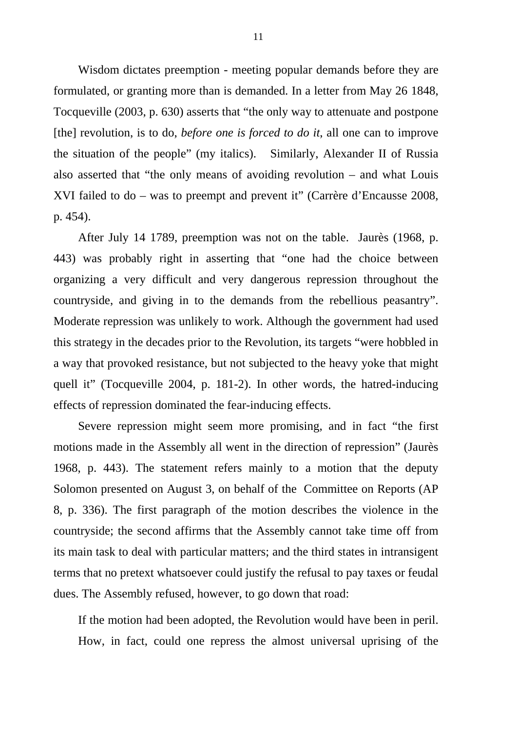Wisdom dictates preemption - meeting popular demands before they are formulated, or granting more than is demanded. In a letter from May 26 1848, Tocqueville (2003, p. 630) asserts that "the only way to attenuate and postpone [the] revolution, is to do, *before one is forced to do it*, all one can to improve the situation of the people" (my italics). Similarly, Alexander II of Russia also asserted that "the only means of avoiding revolution – and what Louis XVI failed to do – was to preempt and prevent it" (Carrère d'Encausse 2008, p. 454).

After July 14 1789, preemption was not on the table. Jaurès (1968, p. 443) was probably right in asserting that "one had the choice between organizing a very difficult and very dangerous repression throughout the countryside, and giving in to the demands from the rebellious peasantry". Moderate repression was unlikely to work. Although the government had used this strategy in the decades prior to the Revolution, its targets "were hobbled in a way that provoked resistance, but not subjected to the heavy yoke that might quell it" (Tocqueville 2004, p. 181-2). In other words, the hatred-inducing effects of repression dominated the fear-inducing effects.

Severe repression might seem more promising, and in fact "the first motions made in the Assembly all went in the direction of repression" (Jaurès 1968, p. 443). The statement refers mainly to a motion that the deputy Solomon presented on August 3, on behalf of the Committee on Reports (AP 8, p. 336). The first paragraph of the motion describes the violence in the countryside; the second affirms that the Assembly cannot take time off from its main task to deal with particular matters; and the third states in intransigent terms that no pretext whatsoever could justify the refusal to pay taxes or feudal dues. The Assembly refused, however, to go down that road:

If the motion had been adopted, the Revolution would have been in peril. How, in fact, could one repress the almost universal uprising of the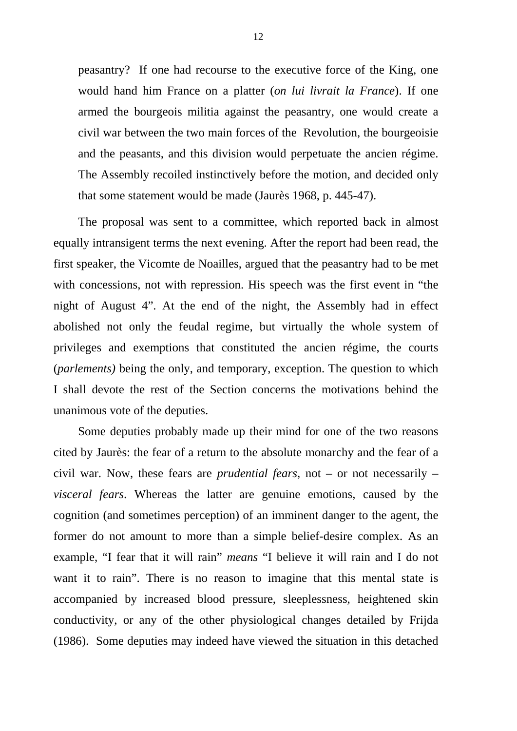peasantry? If one had recourse to the executive force of the King, one would hand him France on a platter (*on lui livrait la France*). If one armed the bourgeois militia against the peasantry, one would create a civil war between the two main forces of the Revolution, the bourgeoisie and the peasants, and this division would perpetuate the ancien régime. The Assembly recoiled instinctively before the motion, and decided only that some statement would be made (Jaurès 1968, p. 445-47).

The proposal was sent to a committee, which reported back in almost equally intransigent terms the next evening. After the report had been read, the first speaker, the Vicomte de Noailles, argued that the peasantry had to be met with concessions, not with repression. His speech was the first event in "the night of August 4". At the end of the night, the Assembly had in effect abolished not only the feudal regime, but virtually the whole system of privileges and exemptions that constituted the ancien régime, the courts (*parlements)* being the only, and temporary, exception. The question to which I shall devote the rest of the Section concerns the motivations behind the unanimous vote of the deputies.

Some deputies probably made up their mind for one of the two reasons cited by Jaurès: the fear of a return to the absolute monarchy and the fear of a civil war. Now, these fears are *prudential fears*, not – or not necessarily – *visceral fears*. Whereas the latter are genuine emotions, caused by the cognition (and sometimes perception) of an imminent danger to the agent, the former do not amount to more than a simple belief-desire complex. As an example, "I fear that it will rain" *means* "I believe it will rain and I do not want it to rain". There is no reason to imagine that this mental state is accompanied by increased blood pressure, sleeplessness, heightened skin conductivity, or any of the other physiological changes detailed by Frijda (1986). Some deputies may indeed have viewed the situation in this detached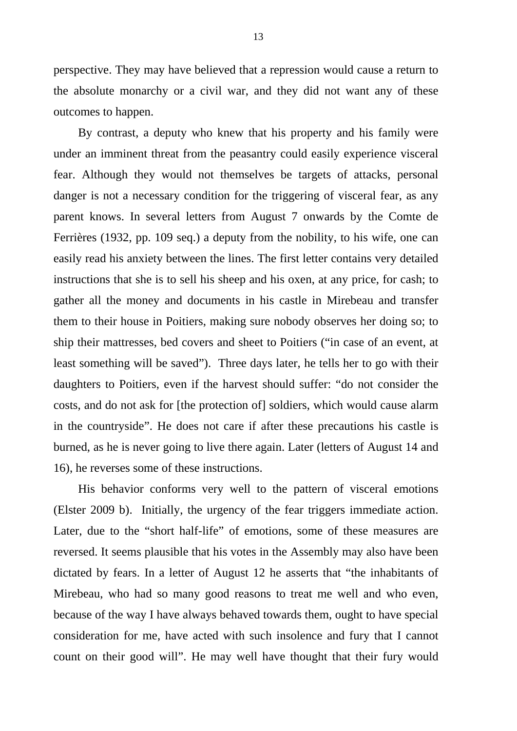perspective. They may have believed that a repression would cause a return to the absolute monarchy or a civil war, and they did not want any of these outcomes to happen.

By contrast, a deputy who knew that his property and his family were under an imminent threat from the peasantry could easily experience visceral fear. Although they would not themselves be targets of attacks, personal danger is not a necessary condition for the triggering of visceral fear, as any parent knows. In several letters from August 7 onwards by the Comte de Ferrières (1932, pp. 109 seq.) a deputy from the nobility, to his wife, one can easily read his anxiety between the lines. The first letter contains very detailed instructions that she is to sell his sheep and his oxen, at any price, for cash; to gather all the money and documents in his castle in Mirebeau and transfer them to their house in Poitiers, making sure nobody observes her doing so; to ship their mattresses, bed covers and sheet to Poitiers ("in case of an event, at least something will be saved"). Three days later, he tells her to go with their daughters to Poitiers, even if the harvest should suffer: "do not consider the costs, and do not ask for [the protection of] soldiers, which would cause alarm in the countryside". He does not care if after these precautions his castle is burned, as he is never going to live there again. Later (letters of August 14 and 16), he reverses some of these instructions.

His behavior conforms very well to the pattern of visceral emotions (Elster 2009 b). Initially, the urgency of the fear triggers immediate action. Later, due to the "short half-life" of emotions, some of these measures are reversed. It seems plausible that his votes in the Assembly may also have been dictated by fears. In a letter of August 12 he asserts that "the inhabitants of Mirebeau, who had so many good reasons to treat me well and who even, because of the way I have always behaved towards them, ought to have special consideration for me, have acted with such insolence and fury that I cannot count on their good will". He may well have thought that their fury would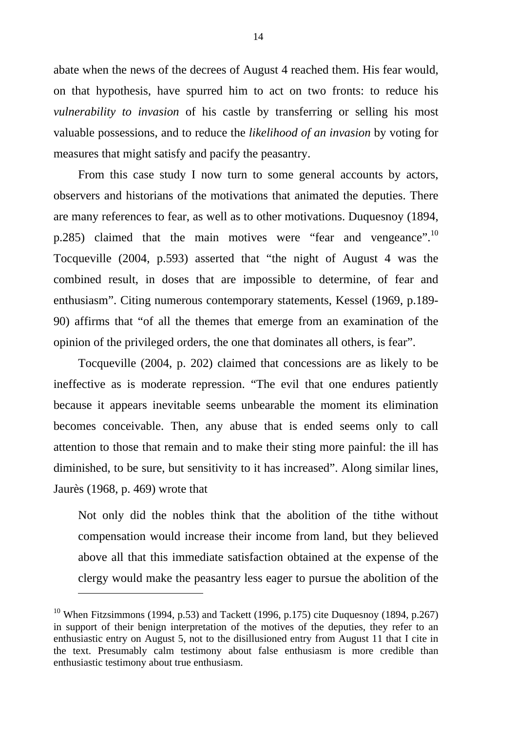abate when the news of the decrees of August 4 reached them. His fear would, on that hypothesis, have spurred him to act on two fronts: to reduce his *vulnerability to invasion* of his castle by transferring or selling his most valuable possessions, and to reduce the *likelihood of an invasion* by voting for measures that might satisfy and pacify the peasantry.

From this case study I now turn to some general accounts by actors, observers and historians of the motivations that animated the deputies. There are many references to fear, as well as to other motivations. Duquesnoy (1894, p.285) claimed that the main motives were "fear and vengeance".<sup>10</sup> Tocqueville (2004, p.593) asserted that "the night of August 4 was the combined result, in doses that are impossible to determine, of fear and enthusiasm". Citing numerous contemporary statements, Kessel (1969, p.189- 90) affirms that "of all the themes that emerge from an examination of the opinion of the privileged orders, the one that dominates all others, is fear".

Tocqueville (2004, p. 202) claimed that concessions are as likely to be ineffective as is moderate repression. "The evil that one endures patiently because it appears inevitable seems unbearable the moment its elimination becomes conceivable. Then, any abuse that is ended seems only to call attention to those that remain and to make their sting more painful: the ill has diminished, to be sure, but sensitivity to it has increased". Along similar lines, Jaurès (1968, p. 469) wrote that

Not only did the nobles think that the abolition of the tithe without compensation would increase their income from land, but they believed above all that this immediate satisfaction obtained at the expense of the clergy would make the peasantry less eager to pursue the abolition of the

1

<sup>&</sup>lt;sup>10</sup> When Fitzsimmons (1994, p.53) and Tackett (1996, p.175) cite Duquesnoy (1894, p.267) in support of their benign interpretation of the motives of the deputies, they refer to an enthusiastic entry on August 5, not to the disillusioned entry from August 11 that I cite in the text. Presumably calm testimony about false enthusiasm is more credible than enthusiastic testimony about true enthusiasm.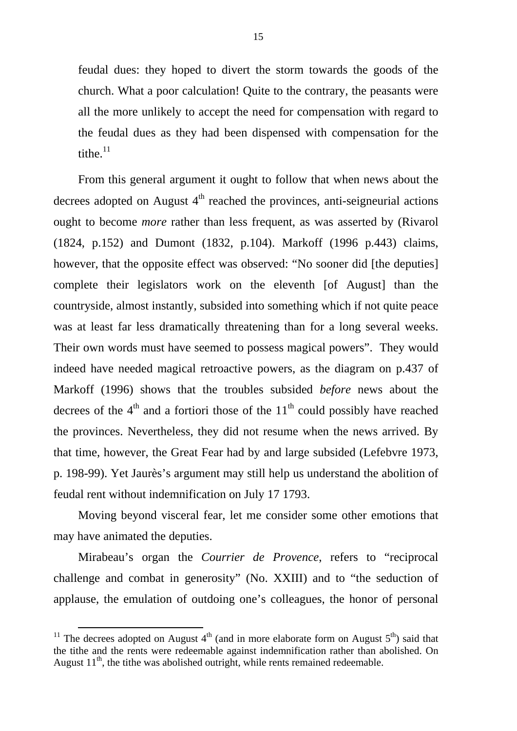feudal dues: they hoped to divert the storm towards the goods of the church. What a poor calculation! Quite to the contrary, the peasants were all the more unlikely to accept the need for compensation with regard to the feudal dues as they had been dispensed with compensation for the tithe. $11$ 

From this general argument it ought to follow that when news about the decrees adopted on August  $4<sup>th</sup>$  reached the provinces, anti-seigneurial actions ought to become *more* rather than less frequent, as was asserted by (Rivarol (1824, p.152) and Dumont (1832, p.104). Markoff (1996 p.443) claims, however, that the opposite effect was observed: "No sooner did [the deputies] complete their legislators work on the eleventh [of August] than the countryside, almost instantly, subsided into something which if not quite peace was at least far less dramatically threatening than for a long several weeks. Their own words must have seemed to possess magical powers". They would indeed have needed magical retroactive powers, as the diagram on p.437 of Markoff (1996) shows that the troubles subsided *before* news about the decrees of the  $4<sup>th</sup>$  and a fortiori those of the  $11<sup>th</sup>$  could possibly have reached the provinces. Nevertheless, they did not resume when the news arrived. By that time, however, the Great Fear had by and large subsided (Lefebvre 1973, p. 198-99). Yet Jaurès's argument may still help us understand the abolition of feudal rent without indemnification on July 17 1793.

Moving beyond visceral fear, let me consider some other emotions that may have animated the deputies.

Mirabeau's organ the *Courrier de Provence*, refers to "reciprocal challenge and combat in generosity" (No. XXIII) and to "the seduction of applause, the emulation of outdoing one's colleagues, the honor of personal

<sup>&</sup>lt;sup>11</sup> The decrees adopted on August  $4<sup>th</sup>$  (and in more elaborate form on August  $5<sup>th</sup>$ ) said that the tithe and the rents were redeemable against indemnification rather than abolished. On August  $11<sup>th</sup>$ , the tithe was abolished outright, while rents remained redeemable.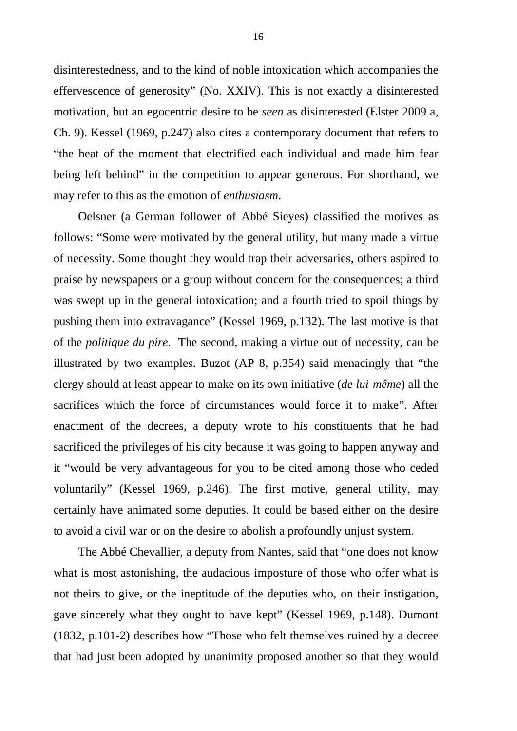disinterestedness, and to the kind of noble intoxication which accompanies the effervescence of generosity" (No. XXIV). This is not exactly a disinterested motivation, but an egocentric desire to be *seen* as disinterested (Elster 2009 a, Ch. 9). Kessel (1969, p.247) also cites a contemporary document that refers to "the heat of the moment that electrified each individual and made him fear being left behind" in the competition to appear generous. For shorthand, we may refer to this as the emotion of *enthusiasm*.

Oelsner (a German follower of Abbé Sieyes) classified the motives as follows: "Some were motivated by the general utility, but many made a virtue of necessity. Some thought they would trap their adversaries, others aspired to praise by newspapers or a group without concern for the consequences; a third was swept up in the general intoxication; and a fourth tried to spoil things by pushing them into extravagance" (Kessel 1969, p.132). The last motive is that of the *politique du pire*. The second, making a virtue out of necessity, can be illustrated by two examples. Buzot (AP 8, p.354) said menacingly that "the clergy should at least appear to make on its own initiative (*de lui-même*) all the sacrifices which the force of circumstances would force it to make". After enactment of the decrees, a deputy wrote to his constituents that he had sacrificed the privileges of his city because it was going to happen anyway and it "would be very advantageous for you to be cited among those who ceded voluntarily" (Kessel 1969, p.246). The first motive, general utility, may certainly have animated some deputies. It could be based either on the desire to avoid a civil war or on the desire to abolish a profoundly unjust system.

The Abbé Chevallier, a deputy from Nantes, said that "one does not know what is most astonishing, the audacious imposture of those who offer what is not theirs to give, or the ineptitude of the deputies who, on their instigation, gave sincerely what they ought to have kept" (Kessel 1969, p.148). Dumont (1832, p.101-2) describes how "Those who felt themselves ruined by a decree that had just been adopted by unanimity proposed another so that they would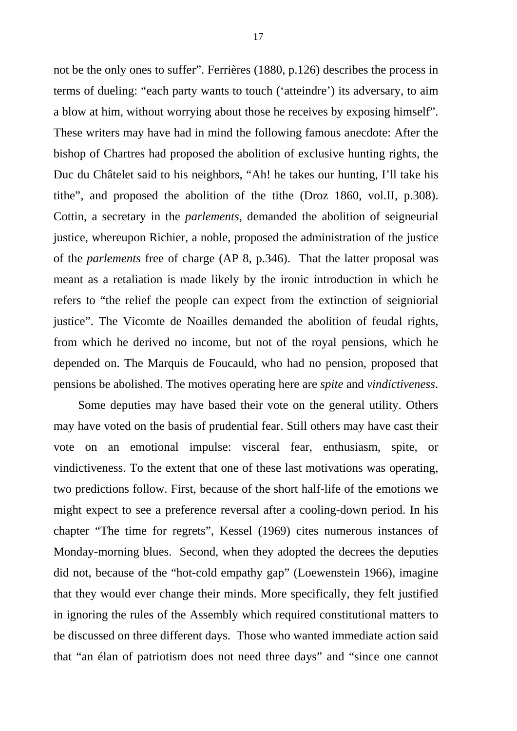not be the only ones to suffer". Ferrières (1880, p.126) describes the process in terms of dueling: "each party wants to touch ('atteindre') its adversary, to aim a blow at him, without worrying about those he receives by exposing himself". These writers may have had in mind the following famous anecdote: After the bishop of Chartres had proposed the abolition of exclusive hunting rights, the Duc du Châtelet said to his neighbors, "Ah! he takes our hunting, I'll take his tithe", and proposed the abolition of the tithe (Droz 1860, vol.II, p.308). Cottin, a secretary in the *parlements*, demanded the abolition of seigneurial justice, whereupon Richier, a noble, proposed the administration of the justice of the *parlements* free of charge (AP 8, p.346). That the latter proposal was meant as a retaliation is made likely by the ironic introduction in which he refers to "the relief the people can expect from the extinction of seigniorial justice". The Vicomte de Noailles demanded the abolition of feudal rights, from which he derived no income, but not of the royal pensions, which he depended on. The Marquis de Foucauld, who had no pension, proposed that pensions be abolished. The motives operating here are *spite* and *vindictiveness*.

Some deputies may have based their vote on the general utility. Others may have voted on the basis of prudential fear. Still others may have cast their vote on an emotional impulse: visceral fear, enthusiasm, spite, or vindictiveness. To the extent that one of these last motivations was operating, two predictions follow. First, because of the short half-life of the emotions we might expect to see a preference reversal after a cooling-down period. In his chapter "The time for regrets", Kessel (1969) cites numerous instances of Monday-morning blues. Second, when they adopted the decrees the deputies did not, because of the "hot-cold empathy gap" (Loewenstein 1966), imagine that they would ever change their minds. More specifically, they felt justified in ignoring the rules of the Assembly which required constitutional matters to be discussed on three different days. Those who wanted immediate action said that "an élan of patriotism does not need three days" and "since one cannot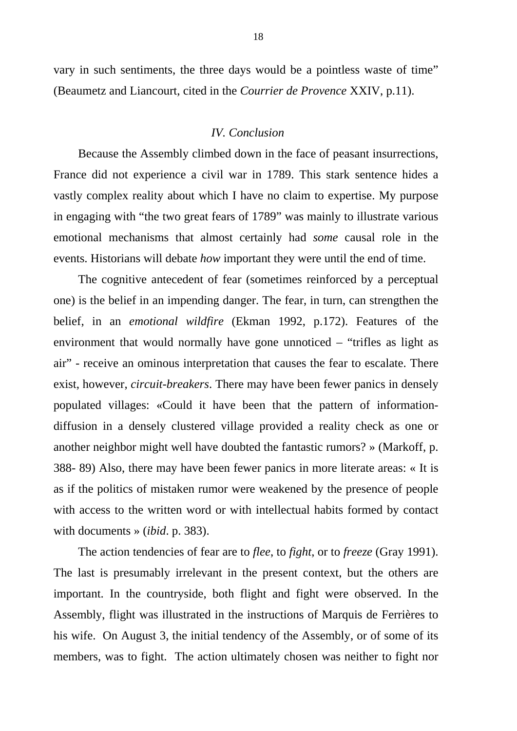vary in such sentiments, the three days would be a pointless waste of time" (Beaumetz and Liancourt, cited in the *Courrier de Provence* XXIV, p.11).

#### *IV. Conclusion*

Because the Assembly climbed down in the face of peasant insurrections, France did not experience a civil war in 1789. This stark sentence hides a vastly complex reality about which I have no claim to expertise. My purpose in engaging with "the two great fears of 1789" was mainly to illustrate various emotional mechanisms that almost certainly had *some* causal role in the events. Historians will debate *how* important they were until the end of time.

The cognitive antecedent of fear (sometimes reinforced by a perceptual one) is the belief in an impending danger. The fear, in turn, can strengthen the belief, in an *emotional wildfire* (Ekman 1992, p.172). Features of the environment that would normally have gone unnoticed – "trifles as light as air" - receive an ominous interpretation that causes the fear to escalate. There exist, however, *circuit-breakers*. There may have been fewer panics in densely populated villages: «Could it have been that the pattern of informationdiffusion in a densely clustered village provided a reality check as one or another neighbor might well have doubted the fantastic rumors? » (Markoff, p. 388- 89) Also, there may have been fewer panics in more literate areas: « It is as if the politics of mistaken rumor were weakened by the presence of people with access to the written word or with intellectual habits formed by contact with documents » (*ibid*. p. 383).

The action tendencies of fear are to *flee*, to *fight*, or to *freeze* (Gray 1991). The last is presumably irrelevant in the present context, but the others are important. In the countryside, both flight and fight were observed. In the Assembly, flight was illustrated in the instructions of Marquis de Ferrières to his wife. On August 3, the initial tendency of the Assembly, or of some of its members, was to fight. The action ultimately chosen was neither to fight nor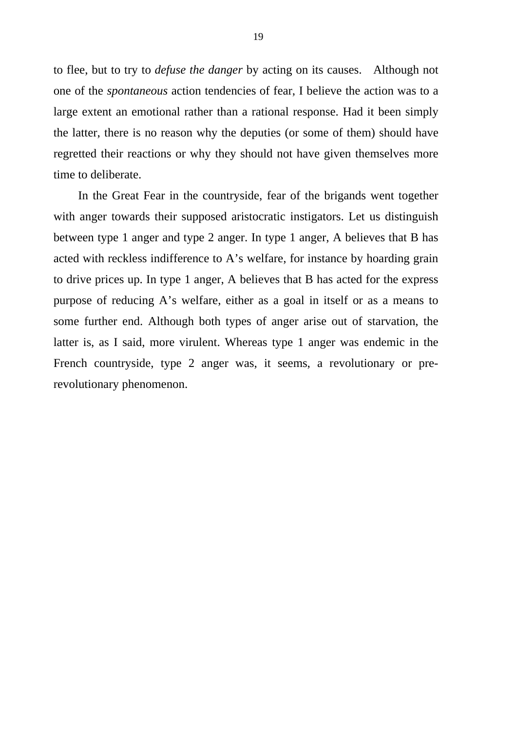to flee, but to try to *defuse the danger* by acting on its causes. Although not one of the *spontaneous* action tendencies of fear, I believe the action was to a large extent an emotional rather than a rational response. Had it been simply the latter, there is no reason why the deputies (or some of them) should have regretted their reactions or why they should not have given themselves more time to deliberate.

In the Great Fear in the countryside, fear of the brigands went together with anger towards their supposed aristocratic instigators. Let us distinguish between type 1 anger and type 2 anger. In type 1 anger, A believes that B has acted with reckless indifference to A's welfare, for instance by hoarding grain to drive prices up. In type 1 anger, A believes that B has acted for the express purpose of reducing A's welfare, either as a goal in itself or as a means to some further end. Although both types of anger arise out of starvation, the latter is, as I said, more virulent. Whereas type 1 anger was endemic in the French countryside, type 2 anger was, it seems, a revolutionary or prerevolutionary phenomenon.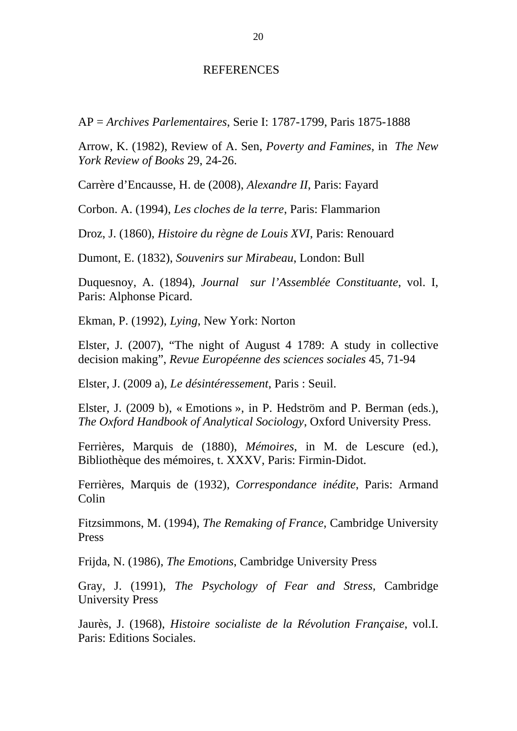#### REFERENCES

AP = *Archives Parlementaires*, Serie I: 1787-1799, Paris 1875-1888

Arrow, K. (1982), Review of A. Sen, *Poverty and Famines*, in *The New York Review of Books* 29, 24-26.

Carrère d'Encausse, H. de (2008), *Alexandre II*, Paris: Fayard

Corbon. A. (1994), *Les cloches de la terre*, Paris: Flammarion

Droz, J. (1860), *Histoire du règne de Louis XVI*, Paris: Renouard

Dumont, E. (1832), *Souvenirs sur Mirabeau*, London: Bull

Duquesnoy, A. (1894), *Journal sur l'Assemblée Constituante*, vol. I, Paris: Alphonse Picard.

Ekman, P. (1992), *Lying*, New York: Norton

Elster, J. (2007), "The night of August 4 1789: A study in collective decision making", *Revue Européenne des sciences sociales* 45, 71-94

Elster, J. (2009 a), *Le désintéressement*, Paris : Seuil.

Elster, J. (2009 b), « Emotions », in P. Hedström and P. Berman (eds.), *The Oxford Handbook of Analytical Sociology*, Oxford University Press.

Ferrières, Marquis de (1880), *Mémoires*, in M. de Lescure (ed.), Bibliothèque des mémoires, t. XXXV, Paris: Firmin-Didot.

Ferrières, Marquis de (1932), *Correspondance inédite*, Paris: Armand Colin

Fitzsimmons, M. (1994), *The Remaking of France*, Cambridge University Press

Frijda, N. (1986), *The Emotions*, Cambridge University Press

Gray, J. (1991), *The Psychology of Fear and Stress,* Cambridge University Press

Jaurès, J. (1968), *Histoire socialiste de la Révolution Française*, vol.I. Paris: Editions Sociales.